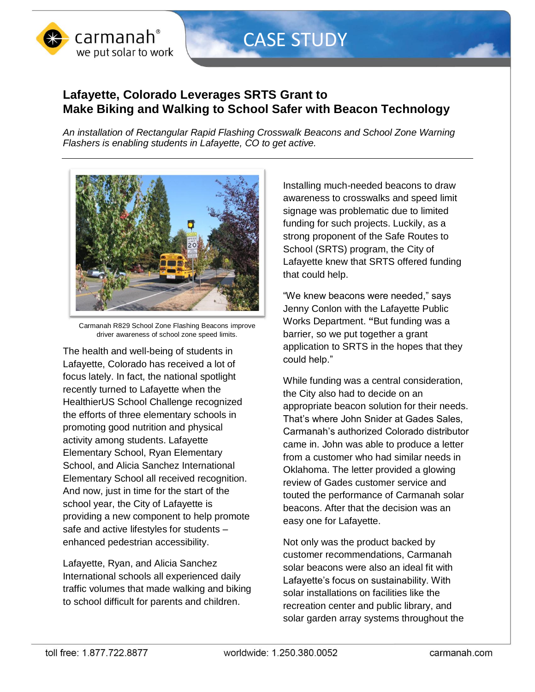

## CASE STUDY

## **Lafayette, Colorado Leverages SRTS Grant to Make Biking and Walking to School Safer with Beacon Technology**

*An installation of Rectangular Rapid Flashing Crosswalk Beacons and School Zone Warning Flashers is enabling students in Lafayette, CO to get active.* 



Carmanah R829 School Zone Flashing Beacons improve driver awareness of school zone speed limits.

The health and well-being of students in Lafayette, Colorado has received a lot of focus lately. In fact, the national spotlight recently turned to Lafayette when the HealthierUS School Challenge recognized the efforts of three elementary schools in promoting good nutrition and physical activity among students. Lafayette Elementary School, Ryan Elementary School, and Alicia Sanchez International Elementary School all received recognition. And now, just in time for the start of the school year, the City of Lafayette is providing a new component to help promote safe and active lifestyles for students – enhanced pedestrian accessibility.

Lafayette, Ryan, and Alicia Sanchez International schools all experienced daily traffic volumes that made walking and biking to school difficult for parents and children.

Installing much-needed beacons to draw awareness to crosswalks and speed limit signage was problematic due to limited funding for such projects. Luckily, as a strong proponent of the Safe Routes to School (SRTS) program, the City of Lafayette knew that SRTS offered funding that could help.

"We knew beacons were needed," says Jenny Conlon with the Lafayette Public Works Department. **"**But funding was a barrier, so we put together a grant application to SRTS in the hopes that they could help."

While funding was a central consideration, the City also had to decide on an appropriate beacon solution for their needs. That's where John Snider at Gades Sales, Carmanah's authorized Colorado distributor came in. John was able to produce a letter from a customer who had similar needs in Oklahoma. The letter provided a glowing review of Gades customer service and touted the performance of Carmanah solar beacons. After that the decision was an easy one for Lafayette.

Not only was the product backed by customer recommendations, Carmanah solar beacons were also an ideal fit with Lafayette's focus on sustainability. With solar installations on facilities like the recreation center and public library, and solar garden array systems throughout the